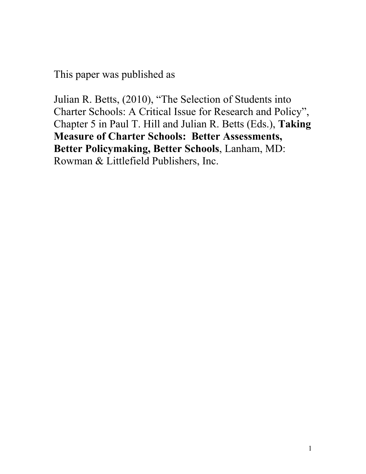This paper was published as

Julian R. Betts, (2010), "The Selection of Students into Charter Schools: A Critical Issue for Research and Policy", Chapter 5 in Paul T. Hill and Julian R. Betts (Eds.), **Taking Measure of Charter Schools: Better Assessments, Better Policymaking, Better Schools**, Lanham, MD: Rowman & Littlefield Publishers, Inc.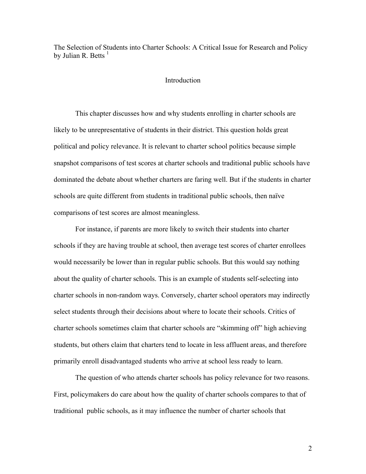The Selection of Students into Charter Schools: A Critical Issue for Research and Policy by Julian R. Betts  $<sup>1</sup>$ </sup>

#### Introduction

This chapter discusses how and why students enrolling in charter schools are likely to be unrepresentative of students in their district. This question holds great political and policy relevance. It is relevant to charter school politics because simple snapshot comparisons of test scores at charter schools and traditional public schools have dominated the debate about whether charters are faring well. But if the students in charter schools are quite different from students in traditional public schools, then naïve comparisons of test scores are almost meaningless.

For instance, if parents are more likely to switch their students into charter schools if they are having trouble at school, then average test scores of charter enrollees would necessarily be lower than in regular public schools. But this would say nothing about the quality of charter schools. This is an example of students self-selecting into charter schools in non-random ways. Conversely, charter school operators may indirectly select students through their decisions about where to locate their schools. Critics of charter schools sometimes claim that charter schools are "skimming off" high achieving students, but others claim that charters tend to locate in less affluent areas, and therefore primarily enroll disadvantaged students who arrive at school less ready to learn.

The question of who attends charter schools has policy relevance for two reasons. First, policymakers do care about how the quality of charter schools compares to that of traditional public schools, as it may influence the number of charter schools that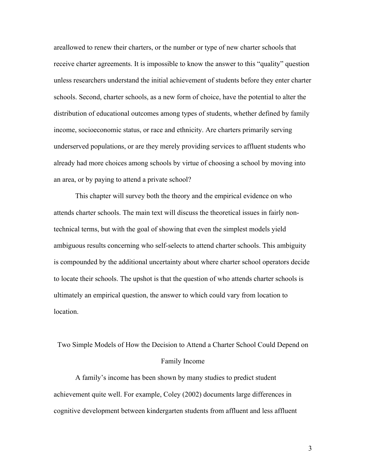areallowed to renew their charters, or the number or type of new charter schools that receive charter agreements. It is impossible to know the answer to this "quality" question unless researchers understand the initial achievement of students before they enter charter schools. Second, charter schools, as a new form of choice, have the potential to alter the distribution of educational outcomes among types of students, whether defined by family income, socioeconomic status, or race and ethnicity. Are charters primarily serving underserved populations, or are they merely providing services to affluent students who already had more choices among schools by virtue of choosing a school by moving into an area, or by paying to attend a private school?

This chapter will survey both the theory and the empirical evidence on who attends charter schools. The main text will discuss the theoretical issues in fairly nontechnical terms, but with the goal of showing that even the simplest models yield ambiguous results concerning who self-selects to attend charter schools. This ambiguity is compounded by the additional uncertainty about where charter school operators decide to locate their schools. The upshot is that the question of who attends charter schools is ultimately an empirical question, the answer to which could vary from location to location.

# Two Simple Models of How the Decision to Attend a Charter School Could Depend on Family Income

A family's income has been shown by many studies to predict student achievement quite well. For example, Coley (2002) documents large differences in cognitive development between kindergarten students from affluent and less affluent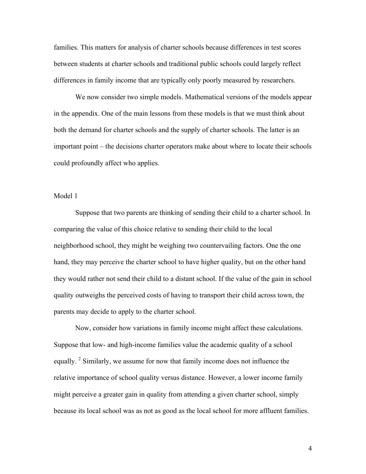families. This matters for analysis of charter schools because differences in test scores between students at charter schools and traditional public schools could largely reflect differences in family income that are typically only poorly measured by researchers.

We now consider two simple models. Mathematical versions of the models appear in the appendix. One of the main lessons from these models is that we must think about both the demand for charter schools and the supply of charter schools. The latter is an important point – the decisions charter operators make about where to locate their schools could profoundly affect who applies.

Model 1

Suppose that two parents are thinking of sending their child to a charter school. In comparing the value of this choice relative to sending their child to the local neighborhood school, they might be weighing two countervailing factors. One the one hand, they may perceive the charter school to have higher quality, but on the other hand they would rather not send their child to a distant school. If the value of the gain in school quality outweighs the perceived costs of having to transport their child across town, the parents may decide to apply to the charter school.

Now, consider how variations in family income might affect these calculations. Suppose that low- and high-income families value the academic quality of a school equally.  $\frac{2}{3}$  Similarly, we assume for now that family income does not influence the relative importance of school quality versus distance. However, a lower income family might perceive a greater gain in quality from attending a given charter school, simply because its local school was as not as good as the local school for more affluent families.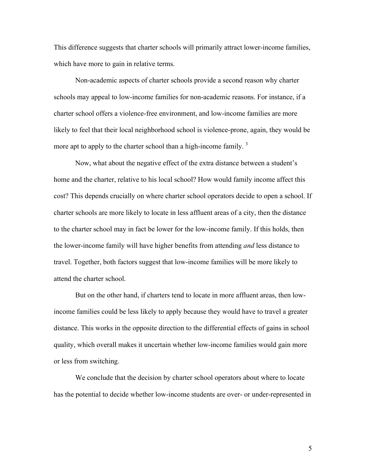This difference suggests that charter schools will primarily attract lower-income families, which have more to gain in relative terms.

Non-academic aspects of charter schools provide a second reason why charter schools may appeal to low-income families for non-academic reasons. For instance, if a charter school offers a violence-free environment, and low-income families are more likely to feel that their local neighborhood school is violence-prone, again, they would be more apt to apply to the charter school than a high-income family.<sup>3</sup>

Now, what about the negative effect of the extra distance between a student's home and the charter, relative to his local school? How would family income affect this cost? This depends crucially on where charter school operators decide to open a school. If charter schools are more likely to locate in less affluent areas of a city, then the distance to the charter school may in fact be lower for the low-income family. If this holds, then the lower-income family will have higher benefits from attending *and* less distance to travel. Together, both factors suggest that low-income families will be more likely to attend the charter school.

But on the other hand, if charters tend to locate in more affluent areas, then lowincome families could be less likely to apply because they would have to travel a greater distance. This works in the opposite direction to the differential effects of gains in school quality, which overall makes it uncertain whether low-income families would gain more or less from switching.

We conclude that the decision by charter school operators about where to locate has the potential to decide whether low-income students are over- or under-represented in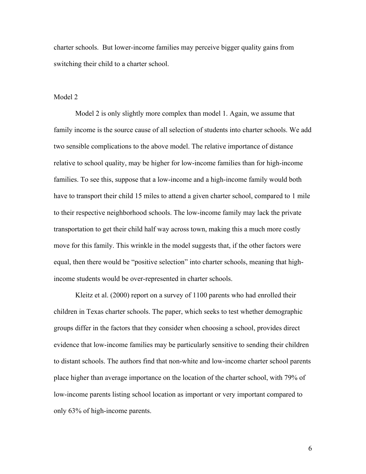charter schools. But lower-income families may perceive bigger quality gains from switching their child to a charter school.

#### Model 2

Model 2 is only slightly more complex than model 1. Again, we assume that family income is the source cause of all selection of students into charter schools. We add two sensible complications to the above model. The relative importance of distance relative to school quality, may be higher for low-income families than for high-income families. To see this, suppose that a low-income and a high-income family would both have to transport their child 15 miles to attend a given charter school, compared to 1 mile to their respective neighborhood schools. The low-income family may lack the private transportation to get their child half way across town, making this a much more costly move for this family. This wrinkle in the model suggests that, if the other factors were equal, then there would be "positive selection" into charter schools, meaning that highincome students would be over-represented in charter schools.

Kleitz et al. (2000) report on a survey of 1100 parents who had enrolled their children in Texas charter schools. The paper, which seeks to test whether demographic groups differ in the factors that they consider when choosing a school, provides direct evidence that low-income families may be particularly sensitive to sending their children to distant schools. The authors find that non-white and low-income charter school parents place higher than average importance on the location of the charter school, with 79% of low-income parents listing school location as important or very important compared to only 63% of high-income parents.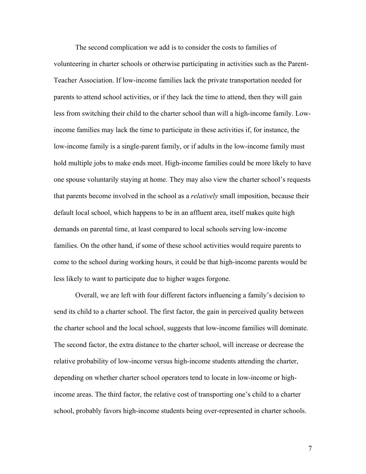The second complication we add is to consider the costs to families of volunteering in charter schools or otherwise participating in activities such as the Parent-Teacher Association. If low-income families lack the private transportation needed for parents to attend school activities, or if they lack the time to attend, then they will gain less from switching their child to the charter school than will a high-income family. Lowincome families may lack the time to participate in these activities if, for instance, the low-income family is a single-parent family, or if adults in the low-income family must hold multiple jobs to make ends meet. High-income families could be more likely to have one spouse voluntarily staying at home. They may also view the charter school's requests that parents become involved in the school as a *relatively* small imposition, because their default local school, which happens to be in an affluent area, itself makes quite high demands on parental time, at least compared to local schools serving low-income families. On the other hand, if some of these school activities would require parents to come to the school during working hours, it could be that high-income parents would be less likely to want to participate due to higher wages forgone.

Overall, we are left with four different factors influencing a family's decision to send its child to a charter school. The first factor, the gain in perceived quality between the charter school and the local school, suggests that low-income families will dominate. The second factor, the extra distance to the charter school, will increase or decrease the relative probability of low-income versus high-income students attending the charter, depending on whether charter school operators tend to locate in low-income or highincome areas. The third factor, the relative cost of transporting one's child to a charter school, probably favors high-income students being over-represented in charter schools.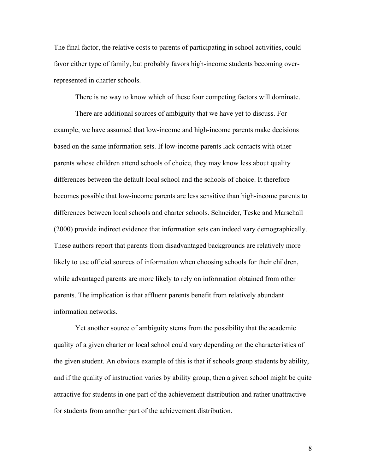The final factor, the relative costs to parents of participating in school activities, could favor either type of family, but probably favors high-income students becoming overrepresented in charter schools.

There is no way to know which of these four competing factors will dominate.

There are additional sources of ambiguity that we have yet to discuss. For example, we have assumed that low-income and high-income parents make decisions based on the same information sets. If low-income parents lack contacts with other parents whose children attend schools of choice, they may know less about quality differences between the default local school and the schools of choice. It therefore becomes possible that low-income parents are less sensitive than high-income parents to differences between local schools and charter schools. Schneider, Teske and Marschall (2000) provide indirect evidence that information sets can indeed vary demographically. These authors report that parents from disadvantaged backgrounds are relatively more likely to use official sources of information when choosing schools for their children, while advantaged parents are more likely to rely on information obtained from other parents. The implication is that affluent parents benefit from relatively abundant information networks.

Yet another source of ambiguity stems from the possibility that the academic quality of a given charter or local school could vary depending on the characteristics of the given student. An obvious example of this is that if schools group students by ability, and if the quality of instruction varies by ability group, then a given school might be quite attractive for students in one part of the achievement distribution and rather unattractive for students from another part of the achievement distribution.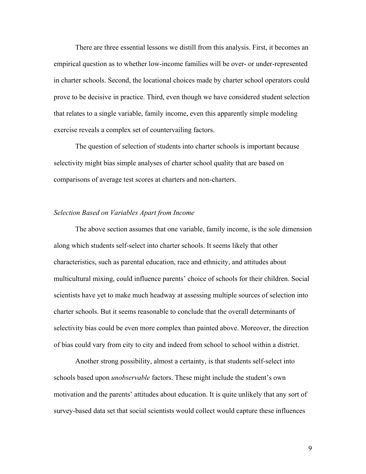There are three essential lessons we distill from this analysis. First, it becomes an empirical question as to whether low-income families will be over- or under-represented in charter schools. Second, the locational choices made by charter school operators could prove to be decisive in practice. Third, even though we have considered student selection that relates to a single variable, family income, even this apparently simple modeling exercise reveals a complex set of countervailing factors.

The question of selection of students into charter schools is important because selectivity might bias simple analyses of charter school quality that are based on comparisons of average test scores at charters and non-charters.

#### *Selection Based on Variables Apart from Income*

The above section assumes that one variable, family income, is the sole dimension along which students self-select into charter schools. It seems likely that other characteristics, such as parental education, race and ethnicity, and attitudes about multicultural mixing, could influence parents' choice of schools for their children. Social scientists have yet to make much headway at assessing multiple sources of selection into charter schools. But it seems reasonable to conclude that the overall determinants of selectivity bias could be even more complex than painted above. Moreover, the direction of bias could vary from city to city and indeed from school to school within a district.

Another strong possibility, almost a certainty, is that students self-select into schools based upon *unobservable* factors. These might include the student's own motivation and the parents' attitudes about education. It is quite unlikely that any sort of survey-based data set that social scientists would collect would capture these influences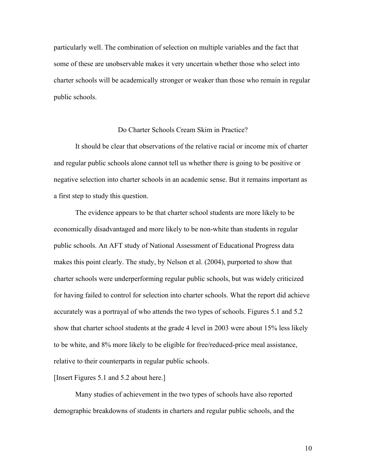particularly well. The combination of selection on multiple variables and the fact that some of these are unobservable makes it very uncertain whether those who select into charter schools will be academically stronger or weaker than those who remain in regular public schools.

# Do Charter Schools Cream Skim in Practice?

It should be clear that observations of the relative racial or income mix of charter and regular public schools alone cannot tell us whether there is going to be positive or negative selection into charter schools in an academic sense. But it remains important as a first step to study this question.

The evidence appears to be that charter school students are more likely to be economically disadvantaged and more likely to be non-white than students in regular public schools. An AFT study of National Assessment of Educational Progress data makes this point clearly. The study, by Nelson et al. (2004), purported to show that charter schools were underperforming regular public schools, but was widely criticized for having failed to control for selection into charter schools. What the report did achieve accurately was a portrayal of who attends the two types of schools. Figures 5.1 and 5.2 show that charter school students at the grade 4 level in 2003 were about 15% less likely to be white, and 8% more likely to be eligible for free/reduced-price meal assistance, relative to their counterparts in regular public schools.

#### [Insert Figures 5.1 and 5.2 about here.]

Many studies of achievement in the two types of schools have also reported demographic breakdowns of students in charters and regular public schools, and the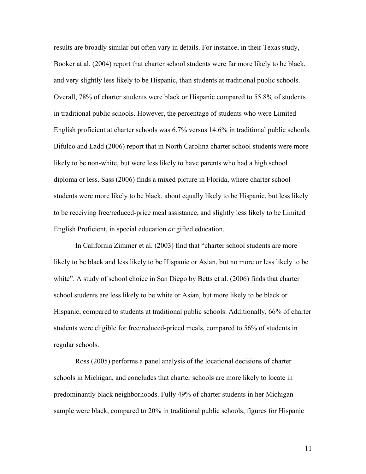results are broadly similar but often vary in details. For instance, in their Texas study, Booker at al. (2004) report that charter school students were far more likely to be black, and very slightly less likely to be Hispanic, than students at traditional public schools. Overall, 78% of charter students were black or Hispanic compared to 55.8% of students in traditional public schools. However, the percentage of students who were Limited English proficient at charter schools was 6.7% versus 14.6% in traditional public schools. Bifulco and Ladd (2006) report that in North Carolina charter school students were more likely to be non-white, but were less likely to have parents who had a high school diploma or less. Sass (2006) finds a mixed picture in Florida, where charter school students were more likely to be black, about equally likely to be Hispanic, but less likely to be receiving free/reduced-price meal assistance, and slightly less likely to be Limited English Proficient, in special education *or* gifted education.

In California Zimmer et al. (2003) find that "charter school students are more likely to be black and less likely to be Hispanic or Asian, but no more or less likely to be white". A study of school choice in San Diego by Betts et al. (2006) finds that charter school students are less likely to be white or Asian, but more likely to be black or Hispanic, compared to students at traditional public schools. Additionally, 66% of charter students were eligible for free/reduced-priced meals, compared to 56% of students in regular schools.

Ross (2005) performs a panel analysis of the locational decisions of charter schools in Michigan, and concludes that charter schools are more likely to locate in predominantly black neighborhoods. Fully 49% of charter students in her Michigan sample were black, compared to 20% in traditional public schools; figures for Hispanic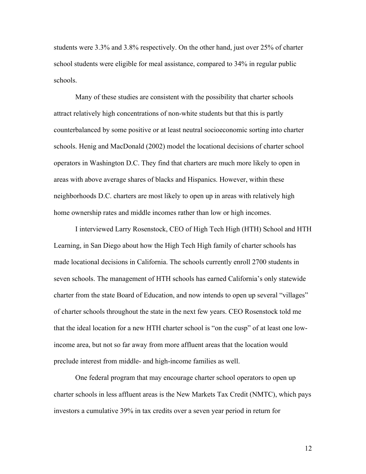students were 3.3% and 3.8% respectively. On the other hand, just over 25% of charter school students were eligible for meal assistance, compared to 34% in regular public schools.

Many of these studies are consistent with the possibility that charter schools attract relatively high concentrations of non-white students but that this is partly counterbalanced by some positive or at least neutral socioeconomic sorting into charter schools. Henig and MacDonald (2002) model the locational decisions of charter school operators in Washington D.C. They find that charters are much more likely to open in areas with above average shares of blacks and Hispanics. However, within these neighborhoods D.C. charters are most likely to open up in areas with relatively high home ownership rates and middle incomes rather than low or high incomes.

I interviewed Larry Rosenstock, CEO of High Tech High (HTH) School and HTH Learning, in San Diego about how the High Tech High family of charter schools has made locational decisions in California. The schools currently enroll 2700 students in seven schools. The management of HTH schools has earned California's only statewide charter from the state Board of Education, and now intends to open up several "villages" of charter schools throughout the state in the next few years. CEO Rosenstock told me that the ideal location for a new HTH charter school is "on the cusp" of at least one lowincome area, but not so far away from more affluent areas that the location would preclude interest from middle- and high-income families as well.

One federal program that may encourage charter school operators to open up charter schools in less affluent areas is the New Markets Tax Credit (NMTC), which pays investors a cumulative 39% in tax credits over a seven year period in return for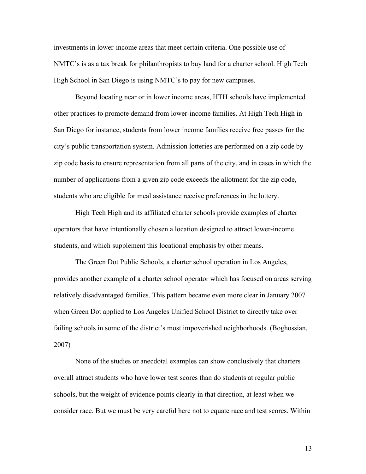investments in lower-income areas that meet certain criteria. One possible use of NMTC's is as a tax break for philanthropists to buy land for a charter school. High Tech High School in San Diego is using NMTC's to pay for new campuses.

Beyond locating near or in lower income areas, HTH schools have implemented other practices to promote demand from lower-income families. At High Tech High in San Diego for instance, students from lower income families receive free passes for the city's public transportation system. Admission lotteries are performed on a zip code by zip code basis to ensure representation from all parts of the city, and in cases in which the number of applications from a given zip code exceeds the allotment for the zip code, students who are eligible for meal assistance receive preferences in the lottery.

High Tech High and its affiliated charter schools provide examples of charter operators that have intentionally chosen a location designed to attract lower-income students, and which supplement this locational emphasis by other means.

The Green Dot Public Schools, a charter school operation in Los Angeles, provides another example of a charter school operator which has focused on areas serving relatively disadvantaged families. This pattern became even more clear in January 2007 when Green Dot applied to Los Angeles Unified School District to directly take over failing schools in some of the district's most impoverished neighborhoods. (Boghossian, 2007)

None of the studies or anecdotal examples can show conclusively that charters overall attract students who have lower test scores than do students at regular public schools, but the weight of evidence points clearly in that direction, at least when we consider race. But we must be very careful here not to equate race and test scores. Within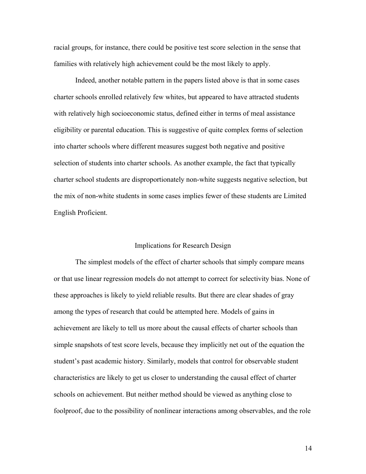racial groups, for instance, there could be positive test score selection in the sense that families with relatively high achievement could be the most likely to apply.

Indeed, another notable pattern in the papers listed above is that in some cases charter schools enrolled relatively few whites, but appeared to have attracted students with relatively high socioeconomic status, defined either in terms of meal assistance eligibility or parental education. This is suggestive of quite complex forms of selection into charter schools where different measures suggest both negative and positive selection of students into charter schools. As another example, the fact that typically charter school students are disproportionately non-white suggests negative selection, but the mix of non-white students in some cases implies fewer of these students are Limited English Proficient.

## Implications for Research Design

The simplest models of the effect of charter schools that simply compare means or that use linear regression models do not attempt to correct for selectivity bias. None of these approaches is likely to yield reliable results. But there are clear shades of gray among the types of research that could be attempted here. Models of gains in achievement are likely to tell us more about the causal effects of charter schools than simple snapshots of test score levels, because they implicitly net out of the equation the student's past academic history. Similarly, models that control for observable student characteristics are likely to get us closer to understanding the causal effect of charter schools on achievement. But neither method should be viewed as anything close to foolproof, due to the possibility of nonlinear interactions among observables, and the role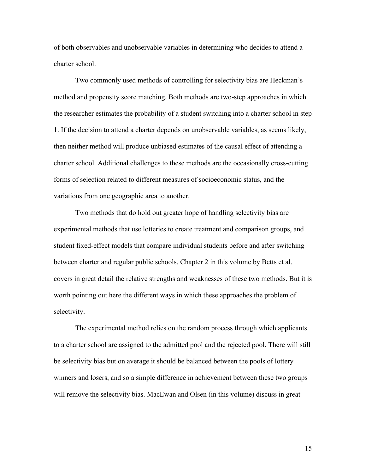of both observables and unobservable variables in determining who decides to attend a charter school.

Two commonly used methods of controlling for selectivity bias are Heckman's method and propensity score matching. Both methods are two-step approaches in which the researcher estimates the probability of a student switching into a charter school in step 1. If the decision to attend a charter depends on unobservable variables, as seems likely, then neither method will produce unbiased estimates of the causal effect of attending a charter school. Additional challenges to these methods are the occasionally cross-cutting forms of selection related to different measures of socioeconomic status, and the variations from one geographic area to another.

Two methods that do hold out greater hope of handling selectivity bias are experimental methods that use lotteries to create treatment and comparison groups, and student fixed-effect models that compare individual students before and after switching between charter and regular public schools. Chapter 2 in this volume by Betts et al. covers in great detail the relative strengths and weaknesses of these two methods. But it is worth pointing out here the different ways in which these approaches the problem of selectivity.

The experimental method relies on the random process through which applicants to a charter school are assigned to the admitted pool and the rejected pool. There will still be selectivity bias but on average it should be balanced between the pools of lottery winners and losers, and so a simple difference in achievement between these two groups will remove the selectivity bias. MacEwan and Olsen (in this volume) discuss in great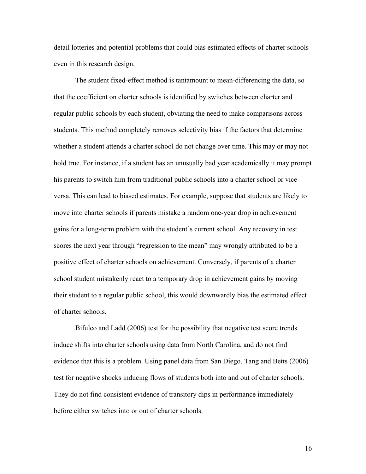detail lotteries and potential problems that could bias estimated effects of charter schools even in this research design.

The student fixed-effect method is tantamount to mean-differencing the data, so that the coefficient on charter schools is identified by switches between charter and regular public schools by each student, obviating the need to make comparisons across students. This method completely removes selectivity bias if the factors that determine whether a student attends a charter school do not change over time. This may or may not hold true. For instance, if a student has an unusually bad year academically it may prompt his parents to switch him from traditional public schools into a charter school or vice versa. This can lead to biased estimates. For example, suppose that students are likely to move into charter schools if parents mistake a random one-year drop in achievement gains for a long-term problem with the student's current school. Any recovery in test scores the next year through "regression to the mean" may wrongly attributed to be a positive effect of charter schools on achievement. Conversely, if parents of a charter school student mistakenly react to a temporary drop in achievement gains by moving their student to a regular public school, this would downwardly bias the estimated effect of charter schools.

Bifulco and Ladd (2006) test for the possibility that negative test score trends induce shifts into charter schools using data from North Carolina, and do not find evidence that this is a problem. Using panel data from San Diego, Tang and Betts (2006) test for negative shocks inducing flows of students both into and out of charter schools. They do not find consistent evidence of transitory dips in performance immediately before either switches into or out of charter schools.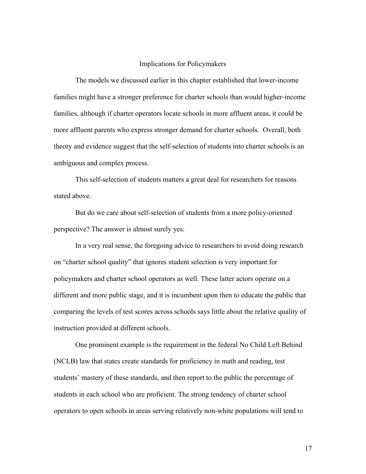## Implications for Policymakers

The models we discussed earlier in this chapter established that lower-income families might have a stronger preference for charter schools than would higher-income families, although if charter operators locate schools in more affluent areas, it could be more affluent parents who express stronger demand for charter schools. Overall, both theory and evidence suggest that the self-selection of students into charter schools is an ambiguous and complex process.

This self-selection of students matters a great deal for researchers for reasons stated above.

But do we care about self-selection of students from a more policy-oriented perspective? The answer is almost surely yes.

In a very real sense, the foregoing advice to researchers to avoid doing research on "charter school quality" that ignores student selection is very important for policymakers and charter school operators as well. These latter actors operate on a different and more public stage, and it is incumbent upon then to educate the public that comparing the levels of test scores across schools says little about the relative quality of instruction provided at different schools.

One prominent example is the requirement in the federal No Child Left Behind (NCLB) law that states create standards for proficiency in math and reading, test students' mastery of these standards, and then report to the public the percentage of students in each school who are proficient. The strong tendency of charter school operators to open schools in areas serving relatively non-white populations will tend to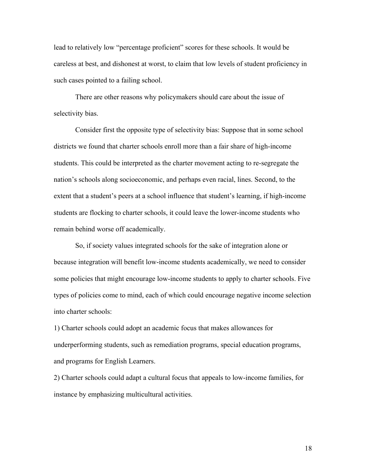lead to relatively low "percentage proficient" scores for these schools. It would be careless at best, and dishonest at worst, to claim that low levels of student proficiency in such cases pointed to a failing school.

There are other reasons why policymakers should care about the issue of selectivity bias.

Consider first the opposite type of selectivity bias: Suppose that in some school districts we found that charter schools enroll more than a fair share of high-income students. This could be interpreted as the charter movement acting to re-segregate the nation's schools along socioeconomic, and perhaps even racial, lines. Second, to the extent that a student's peers at a school influence that student's learning, if high-income students are flocking to charter schools, it could leave the lower-income students who remain behind worse off academically.

So, if society values integrated schools for the sake of integration alone or because integration will benefit low-income students academically, we need to consider some policies that might encourage low-income students to apply to charter schools. Five types of policies come to mind, each of which could encourage negative income selection into charter schools:

1) Charter schools could adopt an academic focus that makes allowances for underperforming students, such as remediation programs, special education programs, and programs for English Learners.

2) Charter schools could adapt a cultural focus that appeals to low-income families, for instance by emphasizing multicultural activities.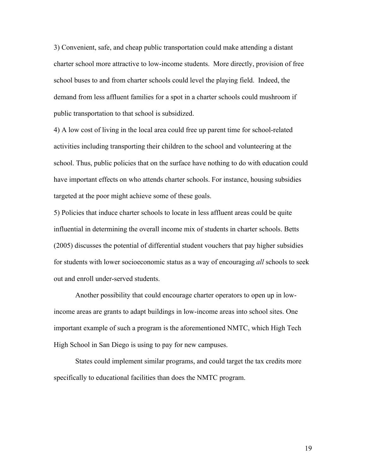3) Convenient, safe, and cheap public transportation could make attending a distant charter school more attractive to low-income students. More directly, provision of free school buses to and from charter schools could level the playing field. Indeed, the demand from less affluent families for a spot in a charter schools could mushroom if public transportation to that school is subsidized.

4) A low cost of living in the local area could free up parent time for school-related activities including transporting their children to the school and volunteering at the school. Thus, public policies that on the surface have nothing to do with education could have important effects on who attends charter schools. For instance, housing subsidies targeted at the poor might achieve some of these goals.

5) Policies that induce charter schools to locate in less affluent areas could be quite influential in determining the overall income mix of students in charter schools. Betts (2005) discusses the potential of differential student vouchers that pay higher subsidies for students with lower socioeconomic status as a way of encouraging *all* schools to seek out and enroll under-served students.

Another possibility that could encourage charter operators to open up in lowincome areas are grants to adapt buildings in low-income areas into school sites. One important example of such a program is the aforementioned NMTC, which High Tech High School in San Diego is using to pay for new campuses.

States could implement similar programs, and could target the tax credits more specifically to educational facilities than does the NMTC program.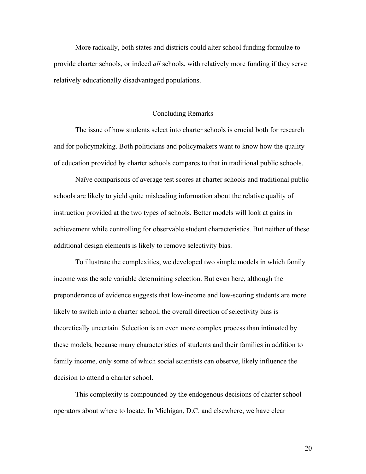More radically, both states and districts could alter school funding formulae to provide charter schools, or indeed *all* schools, with relatively more funding if they serve relatively educationally disadvantaged populations.

#### Concluding Remarks

The issue of how students select into charter schools is crucial both for research and for policymaking. Both politicians and policymakers want to know how the quality of education provided by charter schools compares to that in traditional public schools.

Naïve comparisons of average test scores at charter schools and traditional public schools are likely to yield quite misleading information about the relative quality of instruction provided at the two types of schools. Better models will look at gains in achievement while controlling for observable student characteristics. But neither of these additional design elements is likely to remove selectivity bias.

To illustrate the complexities, we developed two simple models in which family income was the sole variable determining selection. But even here, although the preponderance of evidence suggests that low-income and low-scoring students are more likely to switch into a charter school, the overall direction of selectivity bias is theoretically uncertain. Selection is an even more complex process than intimated by these models, because many characteristics of students and their families in addition to family income, only some of which social scientists can observe, likely influence the decision to attend a charter school.

This complexity is compounded by the endogenous decisions of charter school operators about where to locate. In Michigan, D.C. and elsewhere, we have clear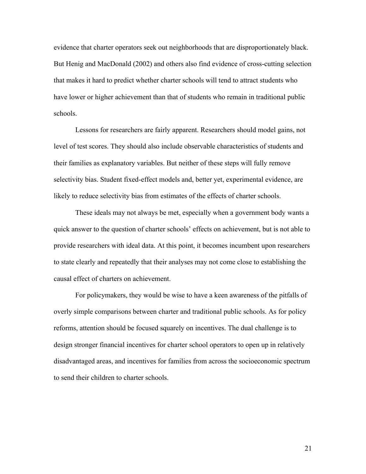evidence that charter operators seek out neighborhoods that are disproportionately black. But Henig and MacDonald (2002) and others also find evidence of cross-cutting selection that makes it hard to predict whether charter schools will tend to attract students who have lower or higher achievement than that of students who remain in traditional public schools.

Lessons for researchers are fairly apparent. Researchers should model gains, not level of test scores. They should also include observable characteristics of students and their families as explanatory variables. But neither of these steps will fully remove selectivity bias. Student fixed-effect models and, better yet, experimental evidence, are likely to reduce selectivity bias from estimates of the effects of charter schools.

These ideals may not always be met, especially when a government body wants a quick answer to the question of charter schools' effects on achievement, but is not able to provide researchers with ideal data. At this point, it becomes incumbent upon researchers to state clearly and repeatedly that their analyses may not come close to establishing the causal effect of charters on achievement.

For policymakers, they would be wise to have a keen awareness of the pitfalls of overly simple comparisons between charter and traditional public schools. As for policy reforms, attention should be focused squarely on incentives. The dual challenge is to design stronger financial incentives for charter school operators to open up in relatively disadvantaged areas, and incentives for families from across the socioeconomic spectrum to send their children to charter schools.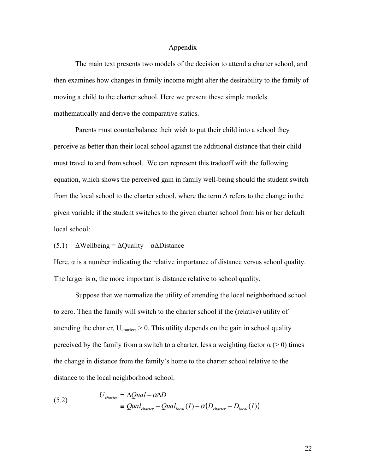# Appendix

The main text presents two models of the decision to attend a charter school, and then examines how changes in family income might alter the desirability to the family of moving a child to the charter school. Here we present these simple models mathematically and derive the comparative statics.

Parents must counterbalance their wish to put their child into a school they perceive as better than their local school against the additional distance that their child must travel to and from school. We can represent this tradeoff with the following equation, which shows the perceived gain in family well-being should the student switch from the local school to the charter school, where the term  $\Delta$  refers to the change in the given variable if the student switches to the given charter school from his or her default local school:

(5.1)  $\Delta$ Wellbeing =  $\Delta$ Quality –  $\alpha \Delta$ Distance

Here,  $\alpha$  is a number indicating the relative importance of distance versus school quality. The larger is  $\alpha$ , the more important is distance relative to school quality.

Suppose that we normalize the utility of attending the local neighborhood school to zero. Then the family will switch to the charter school if the (relative) utility of attending the charter,  $U_{\text{charter}} > 0$ . This utility depends on the gain in school quality perceived by the family from a switch to a charter, less a weighting factor  $\alpha$  (> 0) times the change in distance from the family's home to the charter school relative to the distance to the local neighborhood school.

(5.2) 
$$
U_{\text{character}} = \Delta Qual - \alpha \Delta D
$$

$$
\equiv Qual_{\text{character}} - Qual_{\text{local}}(I) - \alpha (D_{\text{character}} - D_{\text{local}}(I))
$$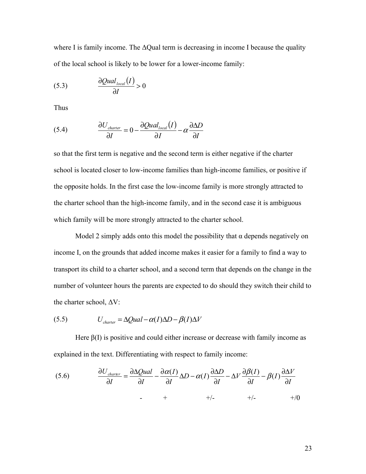where I is family income. The  $\Delta$ Qual term is decreasing in income I because the quality of the local school is likely to be lower for a lower-income family:

$$
(5.3) \t\t \frac{\partial Qual_{local}(I)}{\partial I} > 0
$$

Thus

(5.4) 
$$
\frac{\partial U_{\text{charter}}}{\partial I} = 0 - \frac{\partial \text{Quad}_{\text{local}}(I)}{\partial I} - \alpha \frac{\partial \Delta D}{\partial I}
$$

so that the first term is negative and the second term is either negative if the charter school is located closer to low-income families than high-income families, or positive if the opposite holds. In the first case the low-income family is more strongly attracted to the charter school than the high-income family, and in the second case it is ambiguous which family will be more strongly attracted to the charter school.

Model 2 simply adds onto this model the possibility that  $\alpha$  depends negatively on income I, on the grounds that added income makes it easier for a family to find a way to transport its child to a charter school, and a second term that depends on the change in the number of volunteer hours the parents are expected to do should they switch their child to the charter school,  $\Delta V$ :

$$
(5.5) \tU_{\text{character}} = \Delta Qual - \alpha(I)\Delta D - \beta(I)\Delta V
$$

Here  $\beta$ (I) is positive and could either increase or decrease with family income as explained in the text. Differentiating with respect to family income:

(5.6) *<sup>I</sup> <sup>V</sup> <sup>I</sup> I <sup>I</sup> <sup>V</sup> I <sup>D</sup> <sup>D</sup> <sup>I</sup> I I I Qual I Ucharter* ∂ ∂Δ <sup>−</sup> <sup>∂</sup> <sup>∂</sup> <sup>−</sup> <sup>Δ</sup> ∂ ∂Δ <sup>Δ</sup> <sup>−</sup> <sup>∂</sup> <sup>∂</sup> <sup>−</sup> <sup>∂</sup> ∂Δ <sup>=</sup> <sup>∂</sup> <sup>∂</sup> ( ) ( ) ( ) ( ) <sup>β</sup> <sup>β</sup> <sup>α</sup> α - + +/- +/- +/0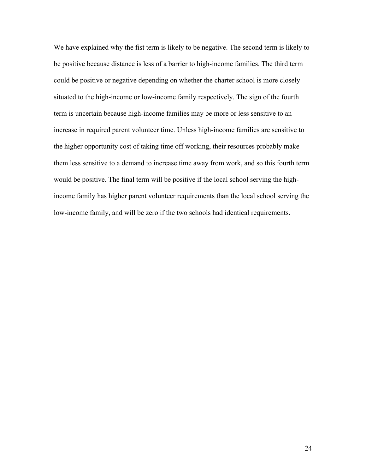We have explained why the fist term is likely to be negative. The second term is likely to be positive because distance is less of a barrier to high-income families. The third term could be positive or negative depending on whether the charter school is more closely situated to the high-income or low-income family respectively. The sign of the fourth term is uncertain because high-income families may be more or less sensitive to an increase in required parent volunteer time. Unless high-income families are sensitive to the higher opportunity cost of taking time off working, their resources probably make them less sensitive to a demand to increase time away from work, and so this fourth term would be positive. The final term will be positive if the local school serving the highincome family has higher parent volunteer requirements than the local school serving the low-income family, and will be zero if the two schools had identical requirements.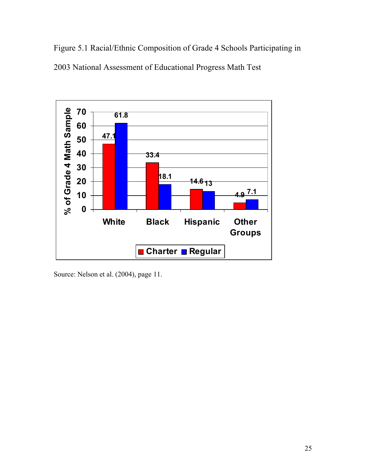Figure 5.1 Racial/Ethnic Composition of Grade 4 Schools Participating in 2003 National Assessment of Educational Progress Math Test



Source: Nelson et al. (2004), page 11.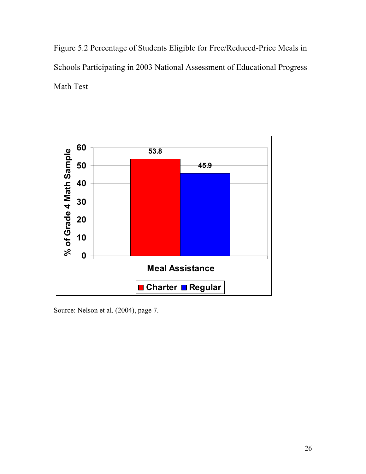Figure 5.2 Percentage of Students Eligible for Free/Reduced-Price Meals in Schools Participating in 2003 National Assessment of Educational Progress Math Test



Source: Nelson et al. (2004), page 7.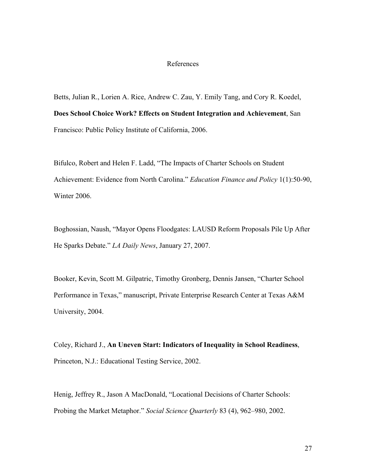# References

Betts, Julian R., Lorien A. Rice, Andrew C. Zau, Y. Emily Tang, and Cory R. Koedel, **Does School Choice Work? Effects on Student Integration and Achievement**, San Francisco: Public Policy Institute of California, 2006.

Bifulco, Robert and Helen F. Ladd, "The Impacts of Charter Schools on Student Achievement: Evidence from North Carolina." *Education Finance and Policy* 1(1):50-90, Winter 2006.

Boghossian, Naush, "Mayor Opens Floodgates: LAUSD Reform Proposals Pile Up After He Sparks Debate." *LA Daily News*, January 27, 2007.

Booker, Kevin, Scott M. Gilpatric, Timothy Gronberg, Dennis Jansen, "Charter School Performance in Texas," manuscript, Private Enterprise Research Center at Texas A&M University, 2004.

Coley, Richard J., **An Uneven Start: Indicators of Inequality in School Readiness**, Princeton, N.J.: Educational Testing Service, 2002.

Henig, Jeffrey R., Jason A MacDonald, "Locational Decisions of Charter Schools: Probing the Market Metaphor." *Social Science Quarterly* 83 (4), 962–980, 2002.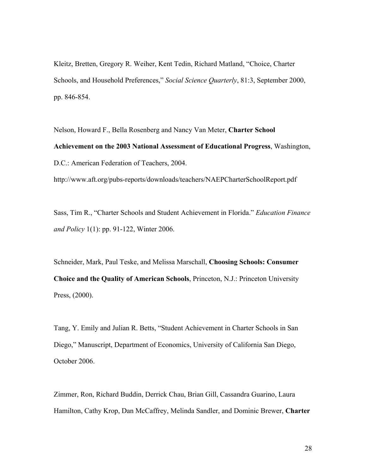Kleitz, Bretten, Gregory R. Weiher, Kent Tedin, Richard Matland, "Choice, Charter Schools, and Household Preferences," *Social Science Quarterly*, 81:3, September 2000, pp. 846-854.

Nelson, Howard F., Bella Rosenberg and Nancy Van Meter, **Charter School Achievement on the 2003 National Assessment of Educational Progress**, Washington, D.C.: American Federation of Teachers, 2004.

http://www.aft.org/pubs-reports/downloads/teachers/NAEPCharterSchoolReport.pdf

Sass, Tim R., "Charter Schools and Student Achievement in Florida." *Education Finance and Policy* 1(1): pp. 91-122, Winter 2006.

Schneider, Mark, Paul Teske, and Melissa Marschall, **Choosing Schools: Consumer Choice and the Quality of American Schools**, Princeton, N.J.: Princeton University Press, (2000).

Tang, Y. Emily and Julian R. Betts, "Student Achievement in Charter Schools in San Diego," Manuscript, Department of Economics, University of California San Diego, October 2006.

Zimmer, Ron, Richard Buddin, Derrick Chau, Brian Gill, Cassandra Guarino, Laura Hamilton, Cathy Krop, Dan McCaffrey, Melinda Sandler, and Dominic Brewer, **Charter**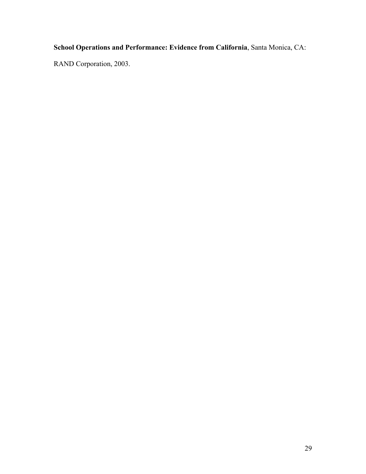# **School Operations and Performance: Evidence from California**, Santa Monica, CA:

RAND Corporation, 2003.